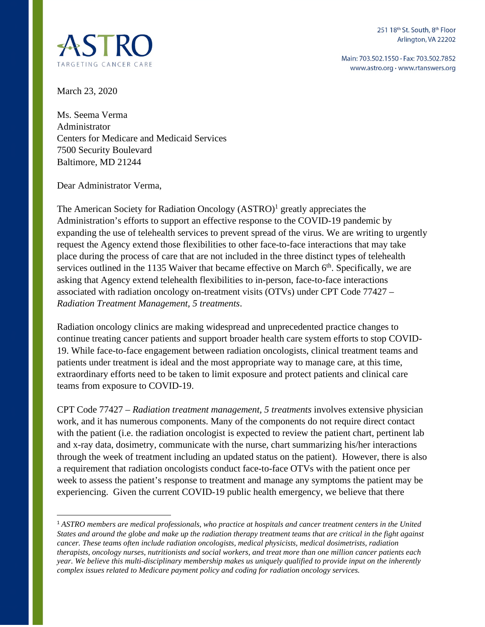

Main: 703.502.1550 · Fax: 703.502.7852 www.astro.org · www.rtanswers.org



March 23, 2020

Ms. Seema Verma Administrator Centers for Medicare and Medicaid Services 7500 Security Boulevard Baltimore, MD 21244

Dear Administrator Verma,

The American Society for Radiation Oncology (ASTRO)<sup>1</sup> greatly appreciates the Administration's efforts to support an effective response to the COVID-19 pandemic by expanding the use of telehealth services to prevent spread of the virus. We are writing to urgently request the Agency extend those flexibilities to other face-to-face interactions that may take place during the process of care that are not included in the three distinct types of telehealth services outlined in the 1135 Waiver that became effective on March  $6<sup>th</sup>$ . Specifically, we are asking that Agency extend telehealth flexibilities to in-person, face-to-face interactions associated with radiation oncology on-treatment visits (OTVs) under CPT Code 77427 – *Radiation Treatment Management, 5 treatments*.

Radiation oncology clinics are making widespread and unprecedented practice changes to continue treating cancer patients and support broader health care system efforts to stop COVID-19. While face-to-face engagement between radiation oncologists, clinical treatment teams and patients under treatment is ideal and the most appropriate way to manage care, at this time, extraordinary efforts need to be taken to limit exposure and protect patients and clinical care teams from exposure to COVID-19.

CPT Code 77427 – *Radiation treatment management, 5 treatments* involves extensive physician work, and it has numerous components. Many of the components do not require direct contact with the patient (i.e. the radiation oncologist is expected to review the patient chart, pertinent lab and x-ray data, dosimetry, communicate with the nurse, chart summarizing his/her interactions through the week of treatment including an updated status on the patient). However, there is also a requirement that radiation oncologists conduct face-to-face OTVs with the patient once per week to assess the patient's response to treatment and manage any symptoms the patient may be experiencing. Given the current COVID-19 public health emergency, we believe that there

<sup>1</sup> *ASTRO members are medical professionals, who practice at hospitals and cancer treatment centers in the United States and around the globe and make up the radiation therapy treatment teams that are critical in the fight against cancer. These teams often include radiation oncologists, medical physicists, medical dosimetrists, radiation therapists, oncology nurses, nutritionists and social workers, and treat more than one million cancer patients each year. We believe this multi-disciplinary membership makes us uniquely qualified to provide input on the inherently complex issues related to Medicare payment policy and coding for radiation oncology services.*